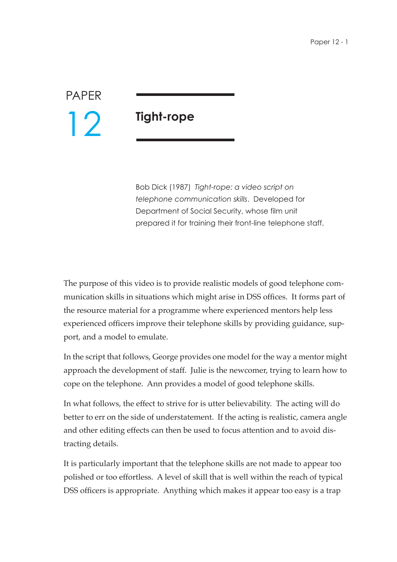## PAPER 12

## **Tight-rope**

Bob Dick (1987) *Tight-rope: a video script on telephone communication skills*. Developed for Department of Social Security, whose film unit prepared it for training their front-line telephone staff.

The purpose of this video is to provide realistic models of good telephone communication skills in situations which might arise in DSS offices. It forms part of the resource material for a programme where experienced mentors help less experienced officers improve their telephone skills by providing guidance, support, and a model to emulate.

In the script that follows, George provides one model for the way a mentor might approach the development of staff. Julie is the newcomer, trying to learn how to cope on the telephone. Ann provides a model of good telephone skills.

In what follows, the effect to strive for is utter believability. The acting will do better to err on the side of understatement. If the acting is realistic, camera angle and other editing effects can then be used to focus attention and to avoid distracting details.

It is particularly important that the telephone skills are not made to appear too polished or too effortless. A level of skill that is well within the reach of typical DSS officers is appropriate. Anything which makes it appear too easy is a trap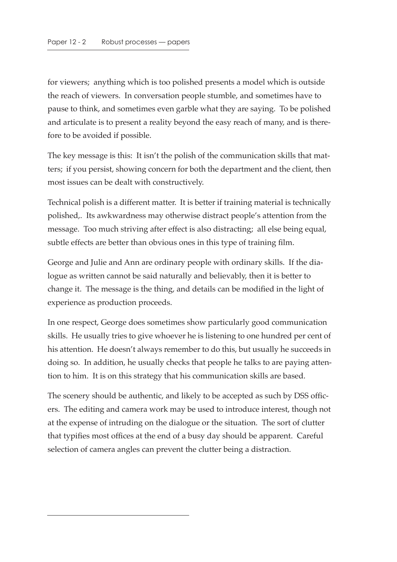for viewers; anything which is too polished presents a model which is outside the reach of viewers. In conversation people stumble, and sometimes have to pause to think, and sometimes even garble what they are saying. To be polished and articulate is to present a reality beyond the easy reach of many, and is therefore to be avoided if possible.

The key message is this: It isn't the polish of the communication skills that matters; if you persist, showing concern for both the department and the client, then most issues can be dealt with constructively.

Technical polish is a different matter. It is better if training material is technically polished,. Its awkwardness may otherwise distract people's attention from the message. Too much striving after effect is also distracting; all else being equal, subtle effects are better than obvious ones in this type of training film.

George and Julie and Ann are ordinary people with ordinary skills. If the dialogue as written cannot be said naturally and believably, then it is better to change it. The message is the thing, and details can be modified in the light of experience as production proceeds.

In one respect, George does sometimes show particularly good communication skills. He usually tries to give whoever he is listening to one hundred per cent of his attention. He doesn't always remember to do this, but usually he succeeds in doing so. In addition, he usually checks that people he talks to are paying attention to him. It is on this strategy that his communication skills are based.

The scenery should be authentic, and likely to be accepted as such by DSS officers. The editing and camera work may be used to introduce interest, though not at the expense of intruding on the dialogue or the situation. The sort of clutter that typifies most offices at the end of a busy day should be apparent. Careful selection of camera angles can prevent the clutter being a distraction.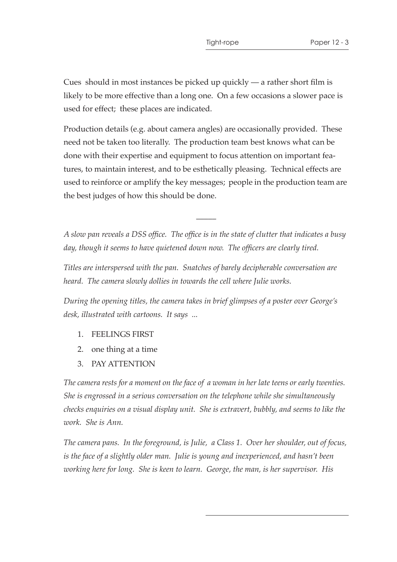Cues should in most instances be picked up quickly — a rather short film is likely to be more effective than a long one. On a few occasions a slower pace is used for effect; these places are indicated.

Production details (e.g. about camera angles) are occasionally provided. These need not be taken too literally. The production team best knows what can be done with their expertise and equipment to focus attention on important features, to maintain interest, and to be esthetically pleasing. Technical effects are used to reinforce or amplify the key messages; people in the production team are the best judges of how this should be done.

*A slow pan reveals a DSS office. The office is in the state of clutter that indicates a busy day, though it seems to have quietened down now. The officers are clearly tired.*

 $\overline{\phantom{a}}$ 

*Titles are interspersed with the pan. Snatches of barely decipherable conversation are heard. The camera slowly dollies in towards the cell where Julie works.*

*During the opening titles, the camera takes in brief glimpses of a poster over George's desk, illustrated with cartoons. It says ...*

- 1. FEELINGS FIRST
- 2. one thing at a time
- 3. PAY ATTENTION

*The camera rests for a moment on the face of a woman in her late teens or early twenties. She is engrossed in a serious conversation on the telephone while she simultaneously checks enquiries on a visual display unit. She is extravert, bubbly, and seems to like the work. She is Ann.*

*The camera pans. In the foreground, is Julie, a Class 1. Over her shoulder, out of focus, is the face of a slightly older man. Julie is young and inexperienced, and hasn't been working here for long. She is keen to learn. George, the man, is her supervisor. His*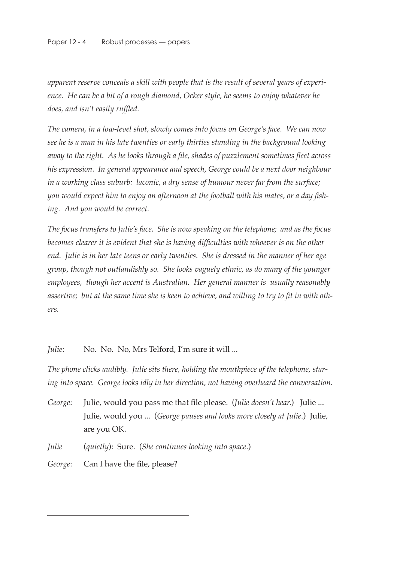*apparent reserve conceals a skill with people that is the result of several years of experience. He can be a bit of a rough diamond, Ocker style, he seems to enjoy whatever he does, and isn't easily ruffled.*

*The camera, in a low-level shot, slowly comes into focus on George's face. We can now see he is a man in his late twenties or early thirties standing in the background looking away to the right. As he looks through a file, shades of puzzlement sometimes fleet across his expression. In general appearance and speech, George could be a next door neighbour in a working class suburb: laconic, a dry sense of humour never far from the surface; you would expect him to enjoy an afternoon at the football with his mates, or a day fishing. And you would be correct.*

*The focus transfers to Julie's face. She is now speaking on the telephone; and as the focus becomes clearer it is evident that she is having difficulties with whoever is on the other end. Julie is in her late teens or early twenties. She is dressed in the manner of her age group, though not outlandishly so. She looks vaguely ethnic, as do many of the younger employees, though her accent is Australian. Her general manner is usually reasonably assertive; but at the same time she is keen to achieve, and willing to try to fit in with others.*

*Julie*: No. No. No, Mrs Telford, I'm sure it will ...

*The phone clicks audibly. Julie sits there, holding the mouthpiece of the telephone, staring into space. George looks idly in her direction, not having overheard the conversation.*

*George*: Julie, would you pass me that file please. (*Julie doesn't hear*.) Julie ... Julie, would you ... (*George pauses and looks more closely at Julie*.) Julie, are you OK.

*Julie* (*quietly*): Sure. (*She continues looking into space*.)

*George*: Can I have the file, please?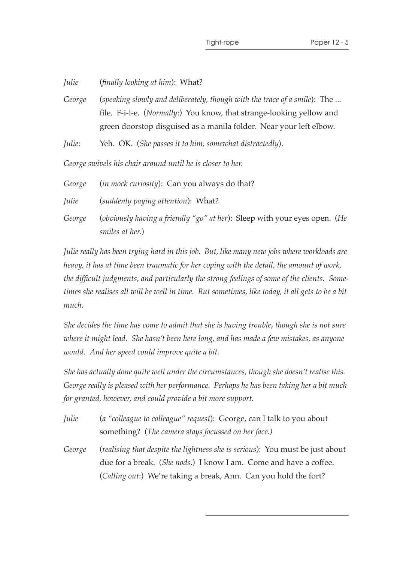*Julie* (*finally looking at him*): What?

*George* (*speaking slowly and deliberately, though with the trace of a smile*): The ... file. F-i-l-e. (*Normally*:) You know, that strange-looking yellow and green doorstop disguised as a manila folder. Near your left elbow.

*Julie*: Yeh. OK. (*She passes it to him, somewhat distractedly*).

*George swivels his chair around until he is closer to her.*

| George | <i>(in mock curiosity)</i> : Can you always do that?                      |
|--------|---------------------------------------------------------------------------|
| Julie  | (suddenly paying attention): What?                                        |
| George | (obviously having a friendly "go" at her): Sleep with your eyes open. (He |
|        | smiles at her.)                                                           |

*Julie really has been trying hard in this job. But, like many new jobs where workloads are heavy, it has at time been traumatic for her coping with the detail, the amount of work, the difficult judgments, and particularly the strong feelings of some of the clients. Sometimes she realises all will be well in time. But sometimes, like today, it all gets to be a bit much.*

*She decides the time has come to admit that she is having trouble, though she is not sure where it might lead. She hasn't been here long, and has made a few mistakes, as anyone would. And her speed could improve quite a bit.*

*She has actually done quite well under the circumstances, though she doesn't realise this. George really is pleased with her performance. Perhaps he has been taking her a bit much for granted, however, and could provide a bit more support.*

- *Julie* (*a "colleague to colleague" request*): George, can I talk to you about something? (*The camera stays focussed on her face.)*
- *George* (*realising that despite the lightness she is serious*): You must be just about due for a break. (*She nods*.) I know I am. Come and have a coffee. (*Calling out*:) We're taking a break, Ann. Can you hold the fort?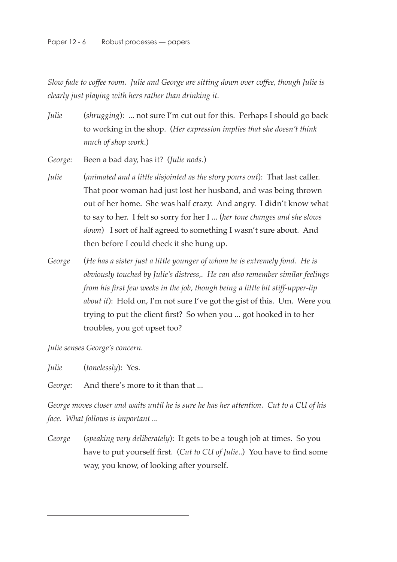*Slow fade to coffee room. Julie and George are sitting down over coffee, though Julie is clearly just playing with hers rather than drinking it.*

*Julie* (*shrugging*): ... not sure I'm cut out for this. Perhaps I should go back to working in the shop. (*Her expression implies that she doesn't think much of shop work*.)

*George*: Been a bad day, has it? (*Julie nods*.)

- *Julie* (*animated and a little disjointed as the story pours out*): That last caller. That poor woman had just lost her husband, and was being thrown out of her home. She was half crazy. And angry. I didn't know what to say to her. I felt so sorry for her I ... (*her tone changes and she slows down*) I sort of half agreed to something I wasn't sure about. And then before I could check it she hung up.
- *George* (*He has a sister just a little younger of whom he is extremely fond. He is obviously touched by Julie's distress,. He can also remember similar feelings from his first few weeks in the job, though being a little bit stiff-upper-lip about it*): Hold on, I'm not sure I've got the gist of this. Um. Were you trying to put the client first? So when you ... got hooked in to her troubles, you got upset too?

*Julie senses George's concern.*

*Julie* (*tonelessly*): Yes.

*George*: And there's more to it than that ...

*George moves closer and waits until he is sure he has her attention. Cut to a CU of his face. What follows is important ...*

*George* (*speaking very deliberately*): It gets to be a tough job at times. So you have to put yourself first. (*Cut to CU of Julie*..) You have to find some way, you know, of looking after yourself.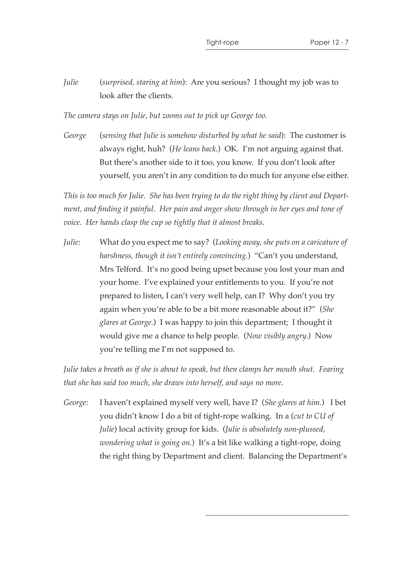*Julie* (*surprised, staring at him*): Are you serious? I thought my job was to look after the clients.

*The camera stays on Julie, but zooms out to pick up George too.*

*George* (*sensing that Julie is somehow disturbed by what he said*): The customer is always right, huh? (*He leans back*.) OK. I'm not arguing against that. But there's another side to it too, you know. If you don't look after yourself, you aren't in any condition to do much for anyone else either.

*This is too much for Julie. She has been trying to do the right thing by client and Department, and finding it painful. Her pain and anger show through in her eyes and tone of voice. Her hands clasp the cup so tightly that it almost breaks.*

*Julie*: What do you expect me to say? (*Looking away, she puts on a caricature of harshness, though it isn't entirely convincing.*) "Can't you understand, Mrs Telford. It's no good being upset because you lost your man and your home. I've explained your entitlements to you. If you're not prepared to listen, I can't very well help, can I? Why don't you try again when you're able to be a bit more reasonable about it?" (*She glares at George.*) I was happy to join this department; I thought it would give me a chance to help people. (*Now visibly angry.*) Now you're telling me I'm not supposed to.

*Julie takes a breath as if she is about to speak, but then clamps her mouth shut. Fearing that she has said too much, she draws into herself, and says no more.*

*George*: I haven't explained myself very well, have I? (*She glares at him.*) I bet you didn't know I do a bit of tight-rope walking. In a (*cut to CU of Julie*) local activity group for kids. (*Julie is absolutely non-plussed, wondering what is going on.*) It's a bit like walking a tight-rope, doing the right thing by Department and client. Balancing the Department's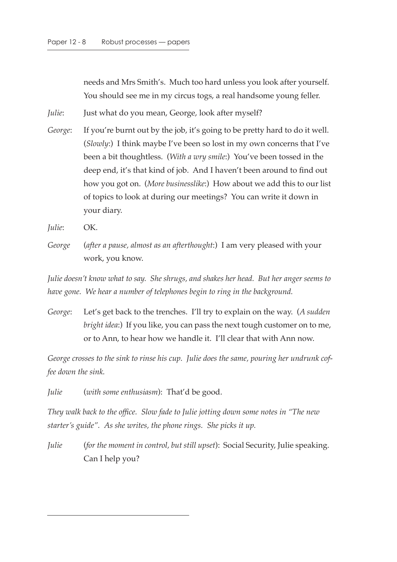needs and Mrs Smith's. Much too hard unless you look after yourself. You should see me in my circus togs, a real handsome young feller.

*Julie*: Just what do you mean, George, look after myself?

*George*: If you're burnt out by the job, it's going to be pretty hard to do it well. (*Slowly*:) I think maybe I've been so lost in my own concerns that I've been a bit thoughtless. (*With a wry smile*:) You've been tossed in the deep end, it's that kind of job. And I haven't been around to find out how you got on. (*More businesslike*:) How about we add this to our list of topics to look at during our meetings? You can write it down in your diary.

*Julie*: OK.

*George* (*after a pause, almost as an afterthought*:) I am very pleased with your work, you know.

*Julie doesn't know what to say. She shrugs, and shakes her head. But her anger seems to have gone. We hear a number of telephones begin to ring in the background.*

*George*: Let's get back to the trenches. I'll try to explain on the way. (*A sudden bright idea*:) If you like, you can pass the next tough customer on to me, or to Ann, to hear how we handle it. I'll clear that with Ann now.

*George crosses to the sink to rinse his cup. Julie does the same, pouring her undrunk coffee down the sink.*

*Julie* (*with some enthusiasm*): That'd be good.

*They walk back to the office. Slow fade to Julie jotting down some notes in "The new starter's guide". As she writes, the phone rings. She picks it up.*

*Julie* (*for the moment in control, but still upset*): Social Security, Julie speaking. Can I help you?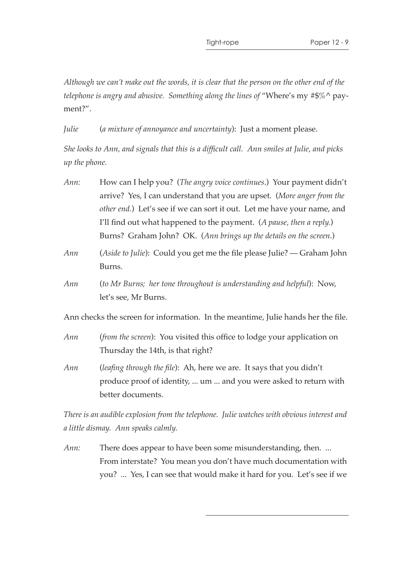*Although we can't make out the words, it is clear that the person on the other end of the telephone is angry and abusive. Something along the lines of* "Where's my #\$%^ payment?".

*Julie* (*a mixture of annoyance and uncertainty*): Just a moment please.

*She looks to Ann, and signals that this is a difficult call. Ann smiles at Julie, and picks up the phone.*

| Ann:                                                                              | How can I help you? (The angry voice continues.) Your payment didn't                                                                                                   |
|-----------------------------------------------------------------------------------|------------------------------------------------------------------------------------------------------------------------------------------------------------------------|
|                                                                                   | arrive? Yes, I can understand that you are upset. (More anger from the                                                                                                 |
|                                                                                   | other end.) Let's see if we can sort it out. Let me have your name, and                                                                                                |
|                                                                                   | I'll find out what happened to the payment. (A pause, then a reply.)                                                                                                   |
|                                                                                   | Burns? Graham John? OK. (Ann brings up the details on the screen.)                                                                                                     |
| Ann                                                                               | (Aside to Julie): Could you get me the file please Julie? — Graham John<br>Burns.                                                                                      |
| Ann                                                                               | (to Mr Burns; her tone throughout is understanding and helpful): Now,<br>let's see, Mr Burns.                                                                          |
| Ann checks the screen for information. In the meantime, Julie hands her the file. |                                                                                                                                                                        |
| Ann                                                                               | (from the screen): You visited this office to lodge your application on<br>Thursday the 14th, is that right?                                                           |
| Ann                                                                               | <i>(leafing through the file)</i> : Ah, here we are. It says that you didn't<br>produce proof of identity,  um  and you were asked to return with<br>better documents. |
|                                                                                   |                                                                                                                                                                        |

*There is an audible explosion from the telephone. Julie watches with obvious interest and a little dismay. Ann speaks calmly.*

*Ann:* There does appear to have been some misunderstanding, then. ... From interstate? You mean you don't have much documentation with you? ... Yes, I can see that would make it hard for you. Let's see if we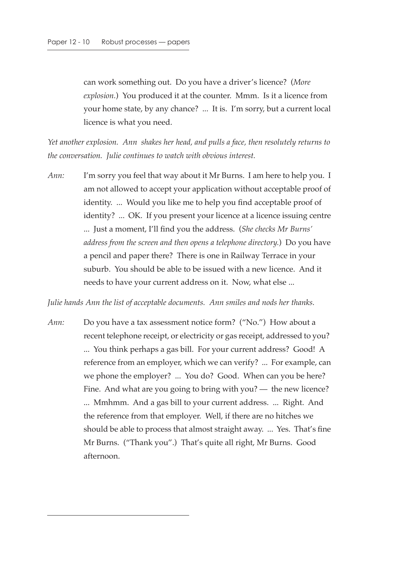can work something out. Do you have a driver's licence? (*More explosion.*) You produced it at the counter. Mmm. Is it a licence from your home state, by any chance? ... It is. I'm sorry, but a current local licence is what you need.

*Yet another explosion. Ann shakes her head, and pulls a face, then resolutely returns to the conversation. Julie continues to watch with obvious interest.*

*Ann:* I'm sorry you feel that way about it Mr Burns. I am here to help you. I am not allowed to accept your application without acceptable proof of identity. ... Would you like me to help you find acceptable proof of identity? ... OK. If you present your licence at a licence issuing centre ... Just a moment, I'll find you the address. (*She checks Mr Burns' address from the screen and then opens a telephone directory.*) Do you have a pencil and paper there? There is one in Railway Terrace in your suburb. You should be able to be issued with a new licence. And it needs to have your current address on it. Now, what else ...

*Julie hands Ann the list of acceptable documents. Ann smiles and nods her thanks.*

*Ann:* Do you have a tax assessment notice form? ("No.") How about a recent telephone receipt, or electricity or gas receipt, addressed to you? ... You think perhaps a gas bill. For your current address? Good! A reference from an employer, which we can verify? ... For example, can we phone the employer? ... You do? Good. When can you be here? Fine. And what are you going to bring with you? — the new licence? ... Mmhmm. And a gas bill to your current address. ... Right. And the reference from that employer. Well, if there are no hitches we should be able to process that almost straight away. ... Yes. That's fine Mr Burns. ("Thank you".) That's quite all right, Mr Burns. Good afternoon.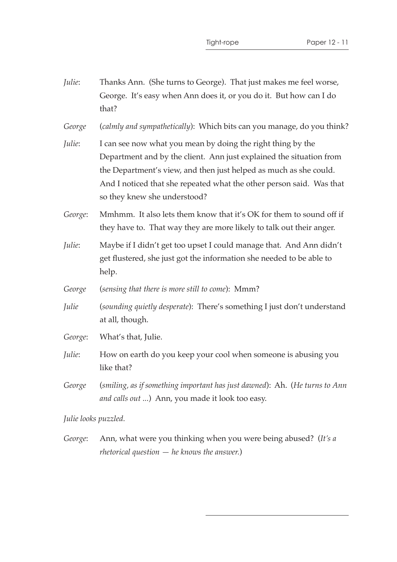| Julie:               | Thanks Ann. (She turns to George). That just makes me feel worse,<br>George. It's easy when Ann does it, or you do it. But how can I do<br>that?                                                                                                                                                                |
|----------------------|-----------------------------------------------------------------------------------------------------------------------------------------------------------------------------------------------------------------------------------------------------------------------------------------------------------------|
| George               | (calmly and sympathetically): Which bits can you manage, do you think?                                                                                                                                                                                                                                          |
| Julie:               | I can see now what you mean by doing the right thing by the<br>Department and by the client. Ann just explained the situation from<br>the Department's view, and then just helped as much as she could.<br>And I noticed that she repeated what the other person said. Was that<br>so they knew she understood? |
| George:              | Mmhmm. It also lets them know that it's OK for them to sound off if<br>they have to. That way they are more likely to talk out their anger.                                                                                                                                                                     |
| Julie:               | Maybe if I didn't get too upset I could manage that. And Ann didn't<br>get flustered, she just got the information she needed to be able to<br>help.                                                                                                                                                            |
| George               | (sensing that there is more still to come): Mmm?                                                                                                                                                                                                                                                                |
| Julie                | (sounding quietly desperate): There's something I just don't understand<br>at all, though.                                                                                                                                                                                                                      |
| George:              | What's that, Julie.                                                                                                                                                                                                                                                                                             |
| Julie:               | How on earth do you keep your cool when someone is abusing you<br>like that?                                                                                                                                                                                                                                    |
| George               | (smiling, as if something important has just dawned): Ah. (He turns to Ann<br>and calls out ) Ann, you made it look too easy.                                                                                                                                                                                   |
| Julie looks puzzled. |                                                                                                                                                                                                                                                                                                                 |

*George*: Ann, what were you thinking when you were being abused? (*It's a rhetorical question — he knows the answer.*)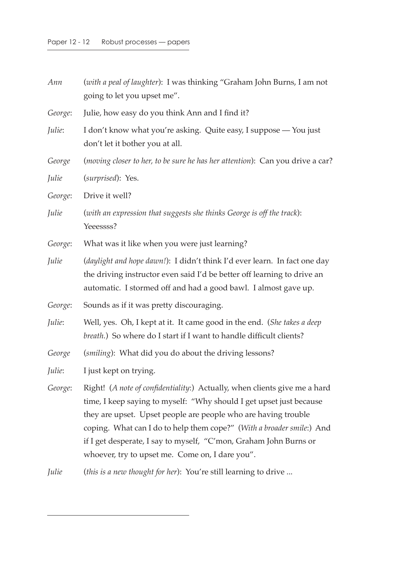| Ann     | (with a peal of laughter): I was thinking "Graham John Burns, I am not<br>going to let you upset me".                                                                                                                                                                                                                                                                                                               |
|---------|---------------------------------------------------------------------------------------------------------------------------------------------------------------------------------------------------------------------------------------------------------------------------------------------------------------------------------------------------------------------------------------------------------------------|
| George: | Julie, how easy do you think Ann and I find it?                                                                                                                                                                                                                                                                                                                                                                     |
| Julie:  | I don't know what you're asking. Quite easy, I suppose - You just<br>don't let it bother you at all.                                                                                                                                                                                                                                                                                                                |
| George  | (moving closer to her, to be sure he has her attention): Can you drive a car?                                                                                                                                                                                                                                                                                                                                       |
| Julie   | (surprised): Yes.                                                                                                                                                                                                                                                                                                                                                                                                   |
| George: | Drive it well?                                                                                                                                                                                                                                                                                                                                                                                                      |
| Julie   | (with an expression that suggests she thinks George is off the track):<br>Yeeessss?                                                                                                                                                                                                                                                                                                                                 |
| George: | What was it like when you were just learning?                                                                                                                                                                                                                                                                                                                                                                       |
| Julie   | (daylight and hope dawn!): I didn't think I'd ever learn. In fact one day<br>the driving instructor even said I'd be better off learning to drive an<br>automatic. I stormed off and had a good bawl. I almost gave up.                                                                                                                                                                                             |
| George: | Sounds as if it was pretty discouraging.                                                                                                                                                                                                                                                                                                                                                                            |
| Julie:  | Well, yes. Oh, I kept at it. It came good in the end. (She takes a deep<br>breath.) So where do I start if I want to handle difficult clients?                                                                                                                                                                                                                                                                      |
| George  | (smiling): What did you do about the driving lessons?                                                                                                                                                                                                                                                                                                                                                               |
| Julie:  | I just kept on trying.                                                                                                                                                                                                                                                                                                                                                                                              |
| George: | Right! (A note of confidentiality:) Actually, when clients give me a hard<br>time, I keep saying to myself: "Why should I get upset just because<br>they are upset. Upset people are people who are having trouble<br>coping. What can I do to help them cope?" (With a broader smile:) And<br>if I get desperate, I say to myself, "C'mon, Graham John Burns or<br>whoever, try to upset me. Come on, I dare you". |
| Julie   | (this is a new thought for her): You're still learning to drive                                                                                                                                                                                                                                                                                                                                                     |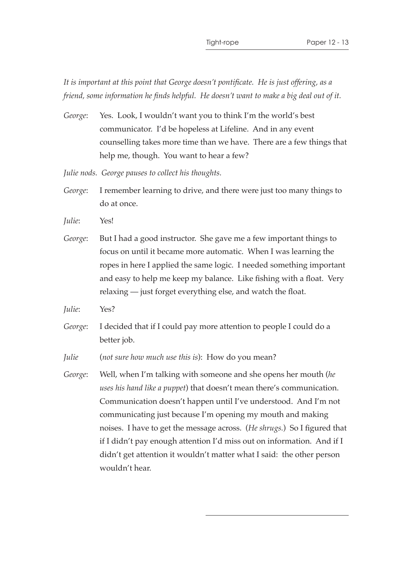*It is important at this point that George doesn't pontificate. He is just offering, as a friend, some information he finds helpful. He doesn't want to make a big deal out of it.*

*George*: Yes. Look, I wouldn't want you to think I'm the world's best communicator. I'd be hopeless at Lifeline. And in any event counselling takes more time than we have. There are a few things that help me, though. You want to hear a few?

*Julie nods. George pauses to collect his thoughts.*

- *George*: I remember learning to drive, and there were just too many things to do at once.
- *Julie*: Yes!
- *George*: But I had a good instructor. She gave me a few important things to focus on until it became more automatic. When I was learning the ropes in here I applied the same logic. I needed something important and easy to help me keep my balance. Like fishing with a float. Very relaxing — just forget everything else, and watch the float.
- *Julie*: Yes?
- *George*: I decided that if I could pay more attention to people I could do a better job.

*Julie* (*not sure how much use this is*): How do you mean?

*George*: Well, when I'm talking with someone and she opens her mouth (*he uses his hand like a puppet*) that doesn't mean there's communication. Communication doesn't happen until I've understood. And I'm not communicating just because I'm opening my mouth and making noises. I have to get the message across. (*He shrugs.*) So I figured that if I didn't pay enough attention I'd miss out on information. And if I didn't get attention it wouldn't matter what I said: the other person wouldn't hear.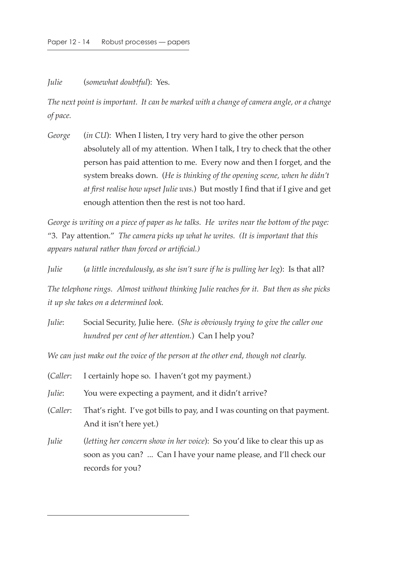*Julie* (*somewhat doubtful*): Yes.

*The next point is important. It can be marked with a change of camera angle, or a change of pace.*

*George* (*in CU*): When I listen, I try very hard to give the other person absolutely all of my attention. When I talk, I try to check that the other person has paid attention to me. Every now and then I forget, and the system breaks down. (*He is thinking of the opening scene, when he didn't at first realise how upset Julie was.*) But mostly I find that if I give and get enough attention then the rest is not too hard.

*George is writing on a piece of paper as he talks. He writes near the bottom of the page:*  "3. Pay attention." *The camera picks up what he writes. (It is important that this appears natural rather than forced or artificial.)*

*Julie* (*a little incredulously, as she isn't sure if he is pulling her leg*): Is that all?

*The telephone rings. Almost without thinking Julie reaches for it. But then as she picks it up she takes on a determined look.*

*Julie*: Social Security, Julie here. (*She is obviously trying to give the caller one hundred per cent of her attention.*) Can I help you?

*We can just make out the voice of the person at the other end, though not clearly.*

*Julie*: You were expecting a payment, and it didn't arrive?

- (*Caller*: That's right. I've got bills to pay, and I was counting on that payment. And it isn't here yet.)
- *Julie* (*letting her concern show in her voice*): So you'd like to clear this up as soon as you can? ... Can I have your name please, and I'll check our records for you?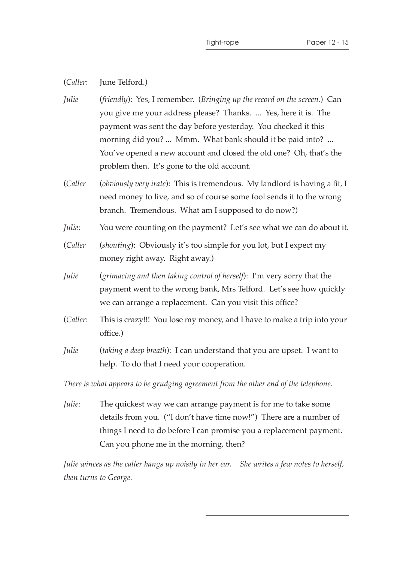(*Caller*: June Telford.)

- *Julie* (*friendly*): Yes, I remember. (*Bringing up the record on the screen.*) Can you give me your address please? Thanks. ... Yes, here it is. The payment was sent the day before yesterday. You checked it this morning did you? ... Mmm. What bank should it be paid into? ... You've opened a new account and closed the old one? Oh, that's the problem then. It's gone to the old account.
- (*Caller* (*obviously very irate*): This is tremendous. My landlord is having a fit, I need money to live, and so of course some fool sends it to the wrong branch. Tremendous. What am I supposed to do now?)
- *Julie*: You were counting on the payment? Let's see what we can do about it.
- (*Caller* (*shouting*): Obviously it's too simple for you lot, but I expect my money right away. Right away.)
- *Julie* (*grimacing and then taking control of herself*): I'm very sorry that the payment went to the wrong bank, Mrs Telford. Let's see how quickly we can arrange a replacement. Can you visit this office?
- (*Caller*: This is crazy!!! You lose my money, and I have to make a trip into your office.)
- *Julie* (*taking a deep breath*): I can understand that you are upset. I want to help. To do that I need your cooperation.

*There is what appears to be grudging agreement from the other end of the telephone.*

*Julie*: The quickest way we can arrange payment is for me to take some details from you. ("I don't have time now!") There are a number of things I need to do before I can promise you a replacement payment. Can you phone me in the morning, then?

*Julie winces as the caller hangs up noisily in her ear. She writes a few notes to herself, then turns to George.*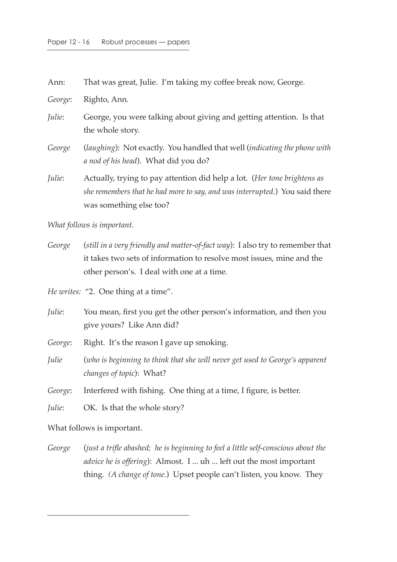| Ann:    | That was great, Julie. I'm taking my coffee break now, George.                                                                                                                     |
|---------|------------------------------------------------------------------------------------------------------------------------------------------------------------------------------------|
| George: | Righto, Ann.                                                                                                                                                                       |
| Julie:  | George, you were talking about giving and getting attention. Is that<br>the whole story.                                                                                           |
| George  | (laughing): Not exactly. You handled that well (indicating the phone with<br>a nod of his head). What did you do?                                                                  |
| Julie:  | Actually, trying to pay attention did help a lot. (Her tone brightens as<br>she remembers that he had more to say, and was interrupted.) You said there<br>was something else too? |

*What follows is important.*

*George* (*still in a very friendly and matter-of-fact way*): I also try to remember that it takes two sets of information to resolve most issues, mine and the other person's. I deal with one at a time.

*He writes:* "2. One thing at a time".

*Julie*: You mean, first you get the other person's information, and then you give yours? Like Ann did?

*George*: Right. It's the reason I gave up smoking.

*Julie* (*who is beginning to think that she will never get used to George's apparent changes of topic*): What?

*George*: Interfered with fishing. One thing at a time, I figure, is better.

*Julie*: **OK.** Is that the whole story?

What follows is important.

*George* (*just a trifle abashed; he is beginning to feel a little self-conscious about the advice he is offering*): Almost. I ... uh ... left out the most important thing*. (A change of tone.*) Upset people can't listen, you know. They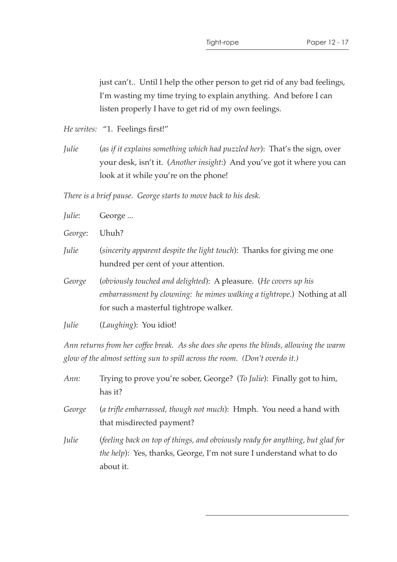just can't.. Until I help the other person to get rid of any bad feelings, I'm wasting my time trying to explain anything. And before I can listen properly I have to get rid of my own feelings.

*He writes:* "1. Feelings first!"

*Julie* (*as if it explains something which had puzzled her*): That's the sign, over your desk, isn't it. (*Another insight*:) And you've got it where you can look at it while you're on the phone!

*There is a brief pause. George starts to move back to his desk.*

| Julie:  | George                                                                                                                                                                                 |
|---------|----------------------------------------------------------------------------------------------------------------------------------------------------------------------------------------|
| George: | Uhuh?                                                                                                                                                                                  |
| Julie   | (sincerity apparent despite the light touch): Thanks for giving me one<br>hundred per cent of your attention.                                                                          |
| George  | (obviously touched and delighted): A pleasure. (He covers up his<br>embarrassment by clowning: he mimes walking a tightrope.) Nothing at all<br>for such a masterful tightrope walker. |
| Julie   | ( <i>Laughing</i> ): You idiot!                                                                                                                                                        |

*Ann returns from her coffee break. As she does she opens the blinds, allowing the warm glow of the almost setting sun to spill across the room. (Don't overdo it.)*

| Ann:   | Trying to prove you're sober, George? (To Julie): Finally got to him,<br>has it?                                                                                    |
|--------|---------------------------------------------------------------------------------------------------------------------------------------------------------------------|
| George | (a trifle embarrassed, though not much): Hmph. You need a hand with<br>that misdirected payment?                                                                    |
| Julie  | (feeling back on top of things, and obviously ready for anything, but glad for<br>the help): Yes, thanks, George, I'm not sure I understand what to do<br>about it. |